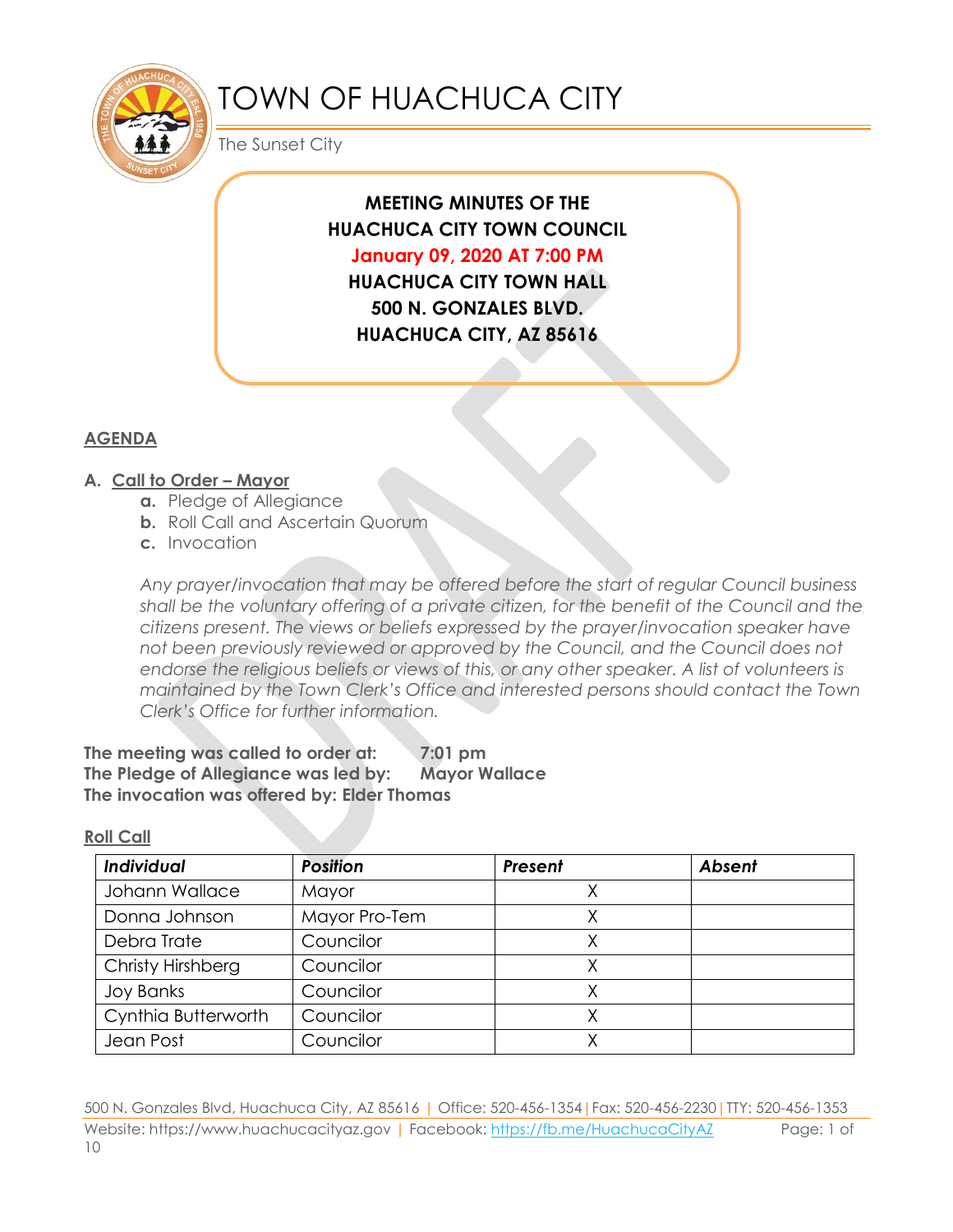

# TOWN OF HUACHUCA CITY

The Sunset City

**MEETING MINUTES OF THE HUACHUCA CITY TOWN COUNCIL January 09, 2020 AT 7:00 PM HUACHUCA CITY TOWN HALL 500 N. GONZALES BLVD. HUACHUCA CITY, AZ 85616**

## **AGENDA**

### **A. Call to Order – Mayor**

- **a.** Pledge of Allegiance
- **b.** Roll Call and Ascertain Quorum
- **c.** Invocation

*Any prayer/invocation that may be offered before the start of regular Council business shall be the voluntary offering of a private citizen, for the benefit of the Council and the citizens present. The views or beliefs expressed by the prayer/invocation speaker have not been previously reviewed or approved by the Council, and the Council does not endorse the religious beliefs or views of this, or any other speaker. A list of volunteers is maintained by the Town Clerk's Office and interested persons should contact the Town Clerk's Office for further information.*

**The meeting was called to order at: 7:01 pm The Pledge of Allegiance was led by: Mayor Wallace The invocation was offered by: Elder Thomas**

#### **Roll Call**

| Individual          | <b>Position</b> | Present | <b>Absent</b> |
|---------------------|-----------------|---------|---------------|
| Johann Wallace      | Mayor           |         |               |
| Donna Johnson       | Mayor Pro-Tem   |         |               |
| Debra Trate         | Councilor       |         |               |
| Christy Hirshberg   | Councilor       |         |               |
| <b>Joy Banks</b>    | Councilor       |         |               |
| Cynthia Butterworth | Councilor       |         |               |
| Jean Post           | Councilor       |         |               |

500 N. Gonzales Blvd, Huachuca City, AZ 85616 | Office: 520-456-1354|Fax: 520-456-2230|TTY: 520-456-1353 Website: https://www.huachucacityaz.gov | Facebook:<https://fb.me/HuachucaCityAZ> Page: 1 of 10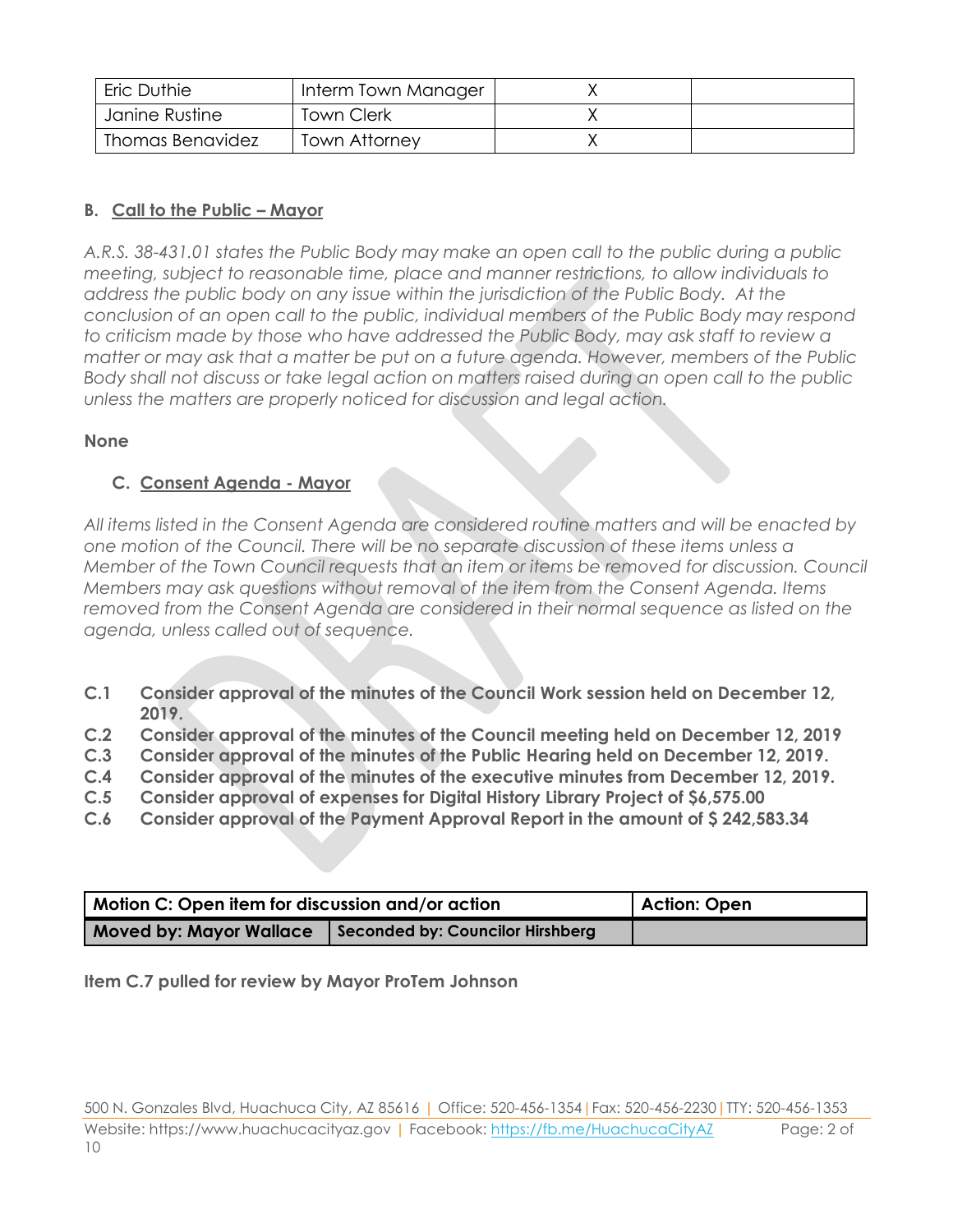| Eric Duthie      | Interm Town Manager |  |
|------------------|---------------------|--|
| Janine Rustine   | Town Clerk          |  |
| Thomas Benavidez | Town Attorney       |  |

# **B. Call to the Public – Mayor**

*A.R.S. 38-431.01 states the Public Body may make an open call to the public during a public meeting, subject to reasonable time, place and manner restrictions, to allow individuals to address the public body on any issue within the jurisdiction of the Public Body. At the conclusion of an open call to the public, individual members of the Public Body may respond to criticism made by those who have addressed the Public Body, may ask staff to review a matter or may ask that a matter be put on a future agenda. However, members of the Public Body shall not discuss or take legal action on matters raised during an open call to the public unless the matters are properly noticed for discussion and legal action.*

# **None**

# **C. Consent Agenda - Mayor**

*All items listed in the Consent Agenda are considered routine matters and will be enacted by one motion of the Council. There will be no separate discussion of these items unless a Member of the Town Council requests that an item or items be removed for discussion. Council Members may ask questions without removal of the item from the Consent Agenda. Items removed from the Consent Agenda are considered in their normal sequence as listed on the agenda, unless called out of sequence.*

- **C.1 Consider approval of the minutes of the Council Work session held on December 12, 2019.**
- **C.2 Consider approval of the minutes of the Council meeting held on December 12, 2019**
- **C.3 Consider approval of the minutes of the Public Hearing held on December 12, 2019.**
- **C.4 Consider approval of the minutes of the executive minutes from December 12, 2019.**
- **C.5 Consider approval of expenses for Digital History Library Project of \$6,575.00**
- **C.6 Consider approval of the Payment Approval Report in the amount of \$ 242,583.34**

| Motion C: Open item for discussion and/or action                   | Action: Open |
|--------------------------------------------------------------------|--------------|
| Seconded by: Councilor Hirshberg<br><b>Moved by: Mayor Wallace</b> |              |

**Item C.7 pulled for review by Mayor ProTem Johnson**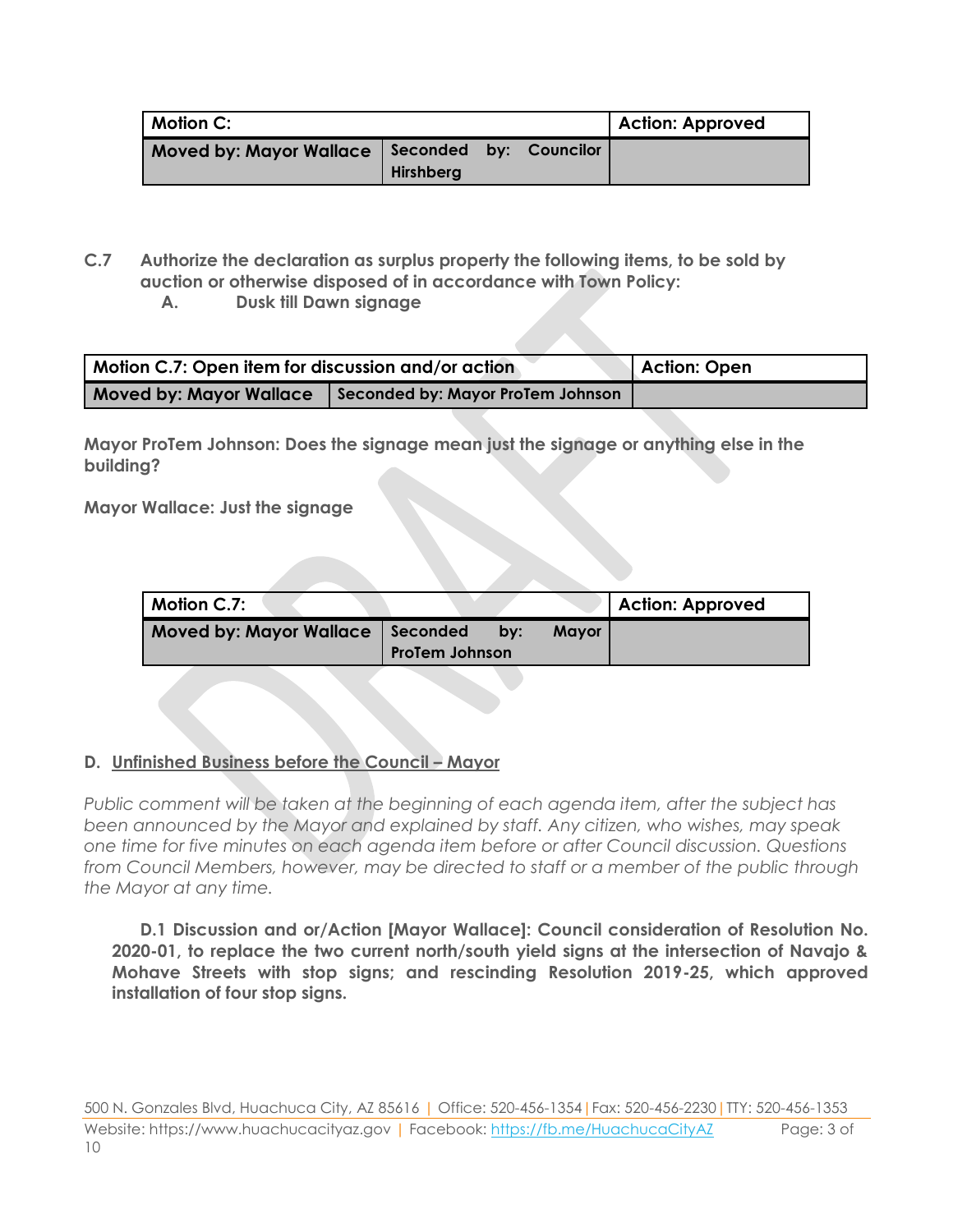| <b>Motion C:</b>                                 |           |  |  | <b>Action: Approved</b> |
|--------------------------------------------------|-----------|--|--|-------------------------|
| Moved by: Mayor Wallace   Seconded by: Councilor | Hirshberg |  |  |                         |

- **C.7 Authorize the declaration as surplus property the following items, to be sold by auction or otherwise disposed of in accordance with Town Policy:**
	- **A. Dusk till Dawn signage**

| Motion C.7: Open item for discussion and/or action |                                   | Action: Open |
|----------------------------------------------------|-----------------------------------|--------------|
| <b>Moved by: Mayor Wallace</b>                     | Seconded by: Mayor ProTem Johnson |              |

**Mayor ProTem Johnson: Does the signage mean just the signage or anything else in the building?**

**Mayor Wallace: Just the signage** 

| Motion C.7:                    |                                     |                     | <b>Action: Approved</b> |
|--------------------------------|-------------------------------------|---------------------|-------------------------|
| <b>Moved by: Mayor Wallace</b> | l Seconded<br><b>ProTem Johnson</b> | <b>Mayor</b><br>bv: |                         |
|                                |                                     |                     |                         |

# **D. Unfinished Business before the Council – Mayor**

*Public comment will be taken at the beginning of each agenda item, after the subject has been announced by the Mayor and explained by staff. Any citizen, who wishes, may speak one time for five minutes on each agenda item before or after Council discussion. Questions from Council Members, however, may be directed to staff or a member of the public through the Mayor at any time.*

**D.1 Discussion and or/Action [Mayor Wallace]: Council consideration of Resolution No. 2020-01, to replace the two current north/south yield signs at the intersection of Navajo & Mohave Streets with stop signs; and rescinding Resolution 2019-25, which approved installation of four stop signs.**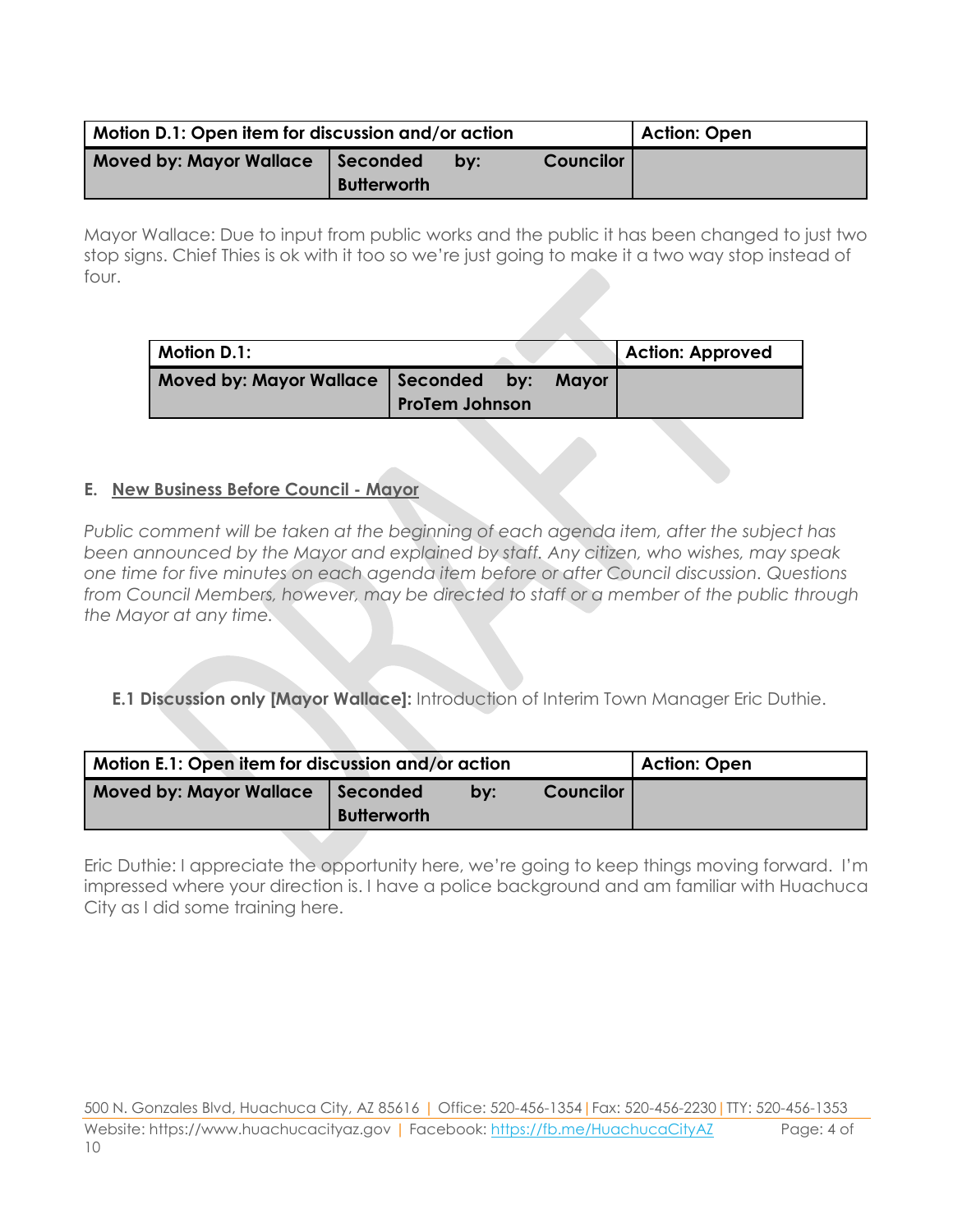| Motion D.1: Open item for discussion and/or action | <b>Action: Open</b>                                      |  |  |  |
|----------------------------------------------------|----------------------------------------------------------|--|--|--|
| <b>Moved by: Mayor Wallace</b>                     | <b>Councilor</b><br>Seconded<br>bv<br><b>Butterworth</b> |  |  |  |

Mayor Wallace: Due to input from public works and the public it has been changed to just two stop signs. Chief Thies is ok with it too so we're just going to make it a two way stop instead of four.

| Motion D.1:                                                   |  |  |       | <b>Action: Approved</b> |
|---------------------------------------------------------------|--|--|-------|-------------------------|
| Moved by: Mayor Wallace Seconded by:<br><b>ProTem Johnson</b> |  |  | Mayor |                         |

### **E. New Business Before Council - Mayor**

*Public comment will be taken at the beginning of each agenda item, after the subject has been announced by the Mayor and explained by staff. Any citizen, who wishes, may speak one time for five minutes on each agenda item before or after Council discussion. Questions from Council Members, however, may be directed to staff or a member of the public through the Mayor at any time.* 

### **E.1 Discussion only [Mayor Wallace]:** Introduction of Interim Town Manager Eric Duthie.

| Motion E.1: Open item for discussion and/or action | <b>Action: Open</b>                                       |  |  |  |
|----------------------------------------------------|-----------------------------------------------------------|--|--|--|
| <b>Moved by: Mayor Wallace</b>                     | <b>Councilor</b><br>Seconded<br>by:<br><b>Butterworth</b> |  |  |  |

Eric Duthie: I appreciate the opportunity here, we're going to keep things moving forward. I'm impressed where your direction is. I have a police background and am familiar with Huachuca City as I did some training here.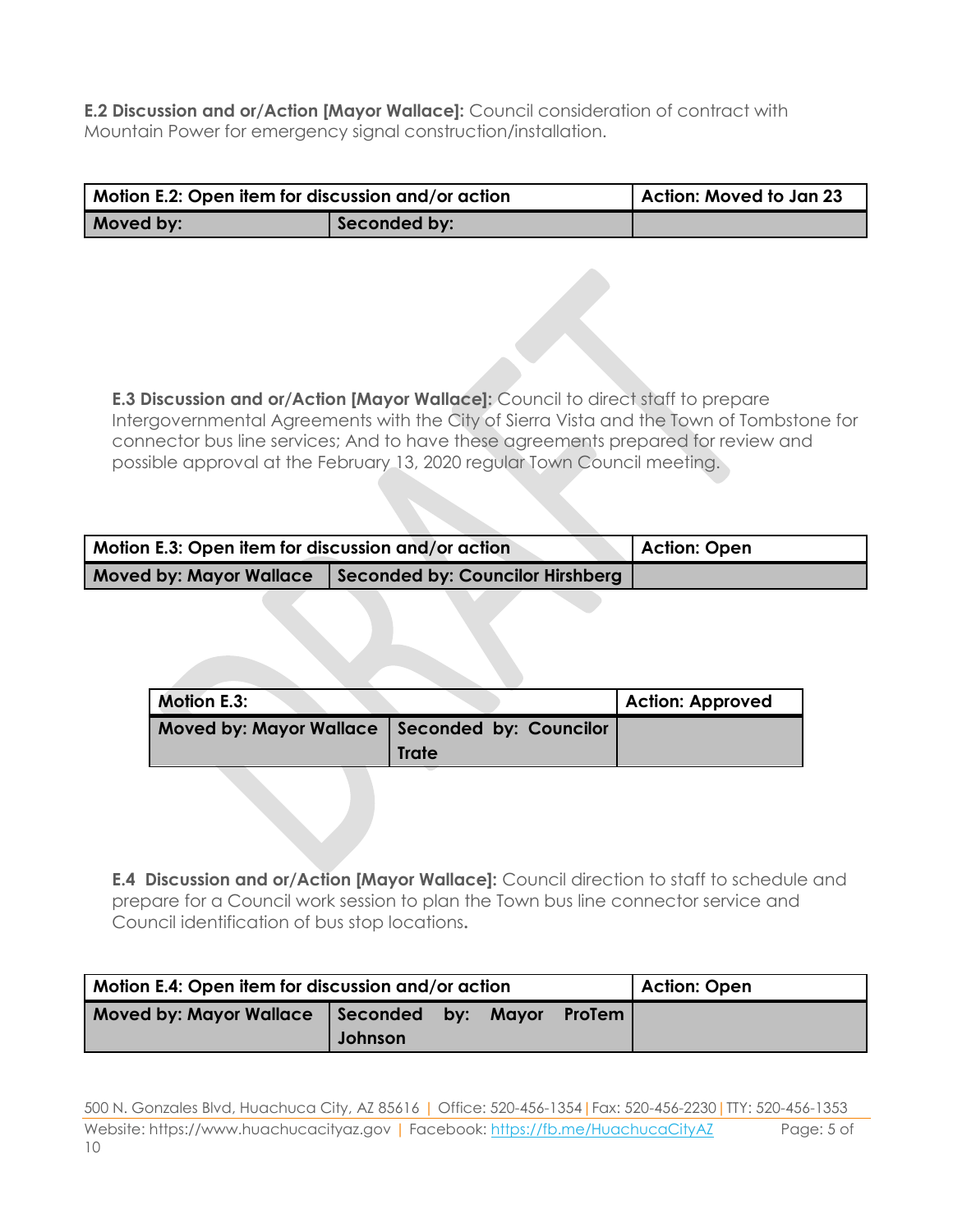**E.2 Discussion and or/Action [Mayor Wallace]:** Council consideration of contract with Mountain Power for emergency signal construction/installation.

| Motion E.2: Open item for discussion and/or action |              | Action: Moved to Jan 23 |
|----------------------------------------------------|--------------|-------------------------|
| Moved by:                                          | Seconded by: |                         |

**E.3 Discussion and or/Action [Mayor Wallace]:** Council to direct staff to prepare Intergovernmental Agreements with the City of Sierra Vista and the Town of Tombstone for connector bus line services; And to have these agreements prepared for review and possible approval at the February 13, 2020 regular Town Council meeting.

| Motion E.3: Open item for discussion and/or action |                                  | Action: Open |
|----------------------------------------------------|----------------------------------|--------------|
| <b>Moved by: Mayor Wallace</b>                     | Seconded by: Councilor Hirshberg |              |

| <b>Motion E.3:</b>                               |       | Action: Approved |
|--------------------------------------------------|-------|------------------|
| Moved by: Mayor Wallace   Seconded by: Councilor |       |                  |
|                                                  | Trate |                  |

**E.4 Discussion and or/Action [Mayor Wallace]:** Council direction to staff to schedule and prepare for a Council work session to plan the Town bus line connector service and Council identification of bus stop locations**.**

| Motion E.4: Open item for discussion and/or action |         |  |       |                 | Action: Open |
|----------------------------------------------------|---------|--|-------|-----------------|--------------|
| Moved by: Mayor Wallace Seconded by:               | Johnson |  | Mavor | <b>ProTem</b> I |              |

500 N. Gonzales Blvd, Huachuca City, AZ 85616 | Office: 520-456-1354|Fax: 520-456-2230|TTY: 520-456-1353 Website: https://www.huachucacityaz.gov | Facebook:<https://fb.me/HuachucaCityAZ> Page: 5 of 10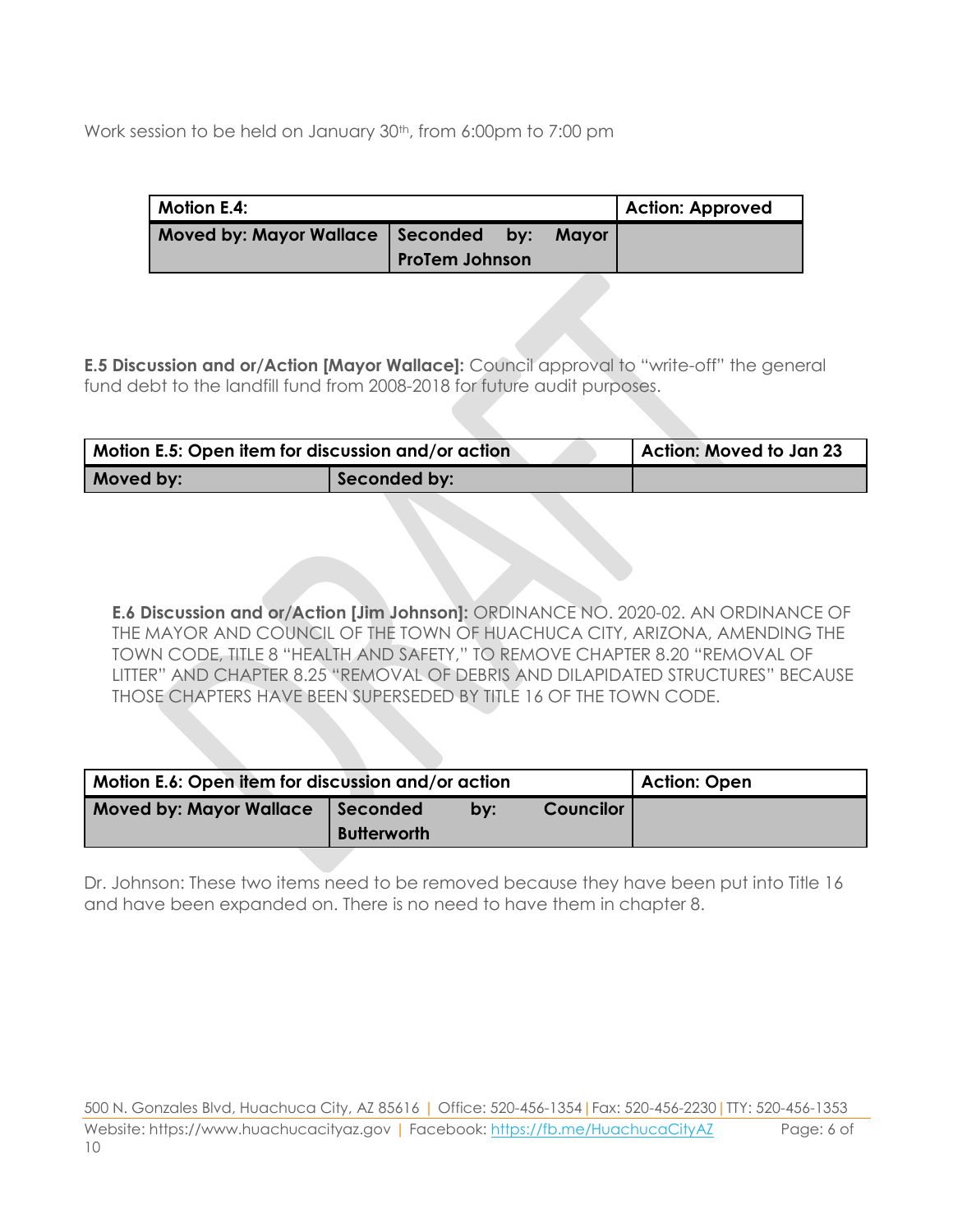Work session to be held on January 30<sup>th</sup>, from 6:00pm to 7:00 pm

| <b>Motion E.4:</b>                           |                       |  | <b>Action: Approved</b> |
|----------------------------------------------|-----------------------|--|-------------------------|
| Moved by: Mayor Wallace   Seconded by: Mayor | <b>ProTem Johnson</b> |  |                         |

**E.5 Discussion and or/Action [Mayor Wallace]:** Council approval to "write-off" the general fund debt to the landfill fund from 2008-2018 for future audit purposes.

| Motion E.5: Open item for discussion and/or action |              | Action: Moved to Jan 23 |
|----------------------------------------------------|--------------|-------------------------|
| Moved by:                                          | Seconded by: |                         |

**E.6 Discussion and or/Action [Jim Johnson]:** ORDINANCE NO. 2020-02. AN ORDINANCE OF THE MAYOR AND COUNCIL OF THE TOWN OF HUACHUCA CITY, ARIZONA, AMENDING THE TOWN CODE, TITLE 8 "HEALTH AND SAFETY," TO REMOVE CHAPTER 8.20 "REMOVAL OF LITTER" AND CHAPTER 8.25 "REMOVAL OF DEBRIS AND DILAPIDATED STRUCTURES" BECAUSE THOSE CHAPTERS HAVE BEEN SUPERSEDED BY TITLE 16 OF THE TOWN CODE.

| Motion E.6: Open item for discussion and/or action | Action: Open                   |     |                  |  |
|----------------------------------------------------|--------------------------------|-----|------------------|--|
| <b>Moved by: Mayor Wallace</b>                     | Seconded<br><b>Butterworth</b> | by: | <b>Councilor</b> |  |

Dr. Johnson: These two items need to be removed because they have been put into Title 16 and have been expanded on. There is no need to have them in chapter 8.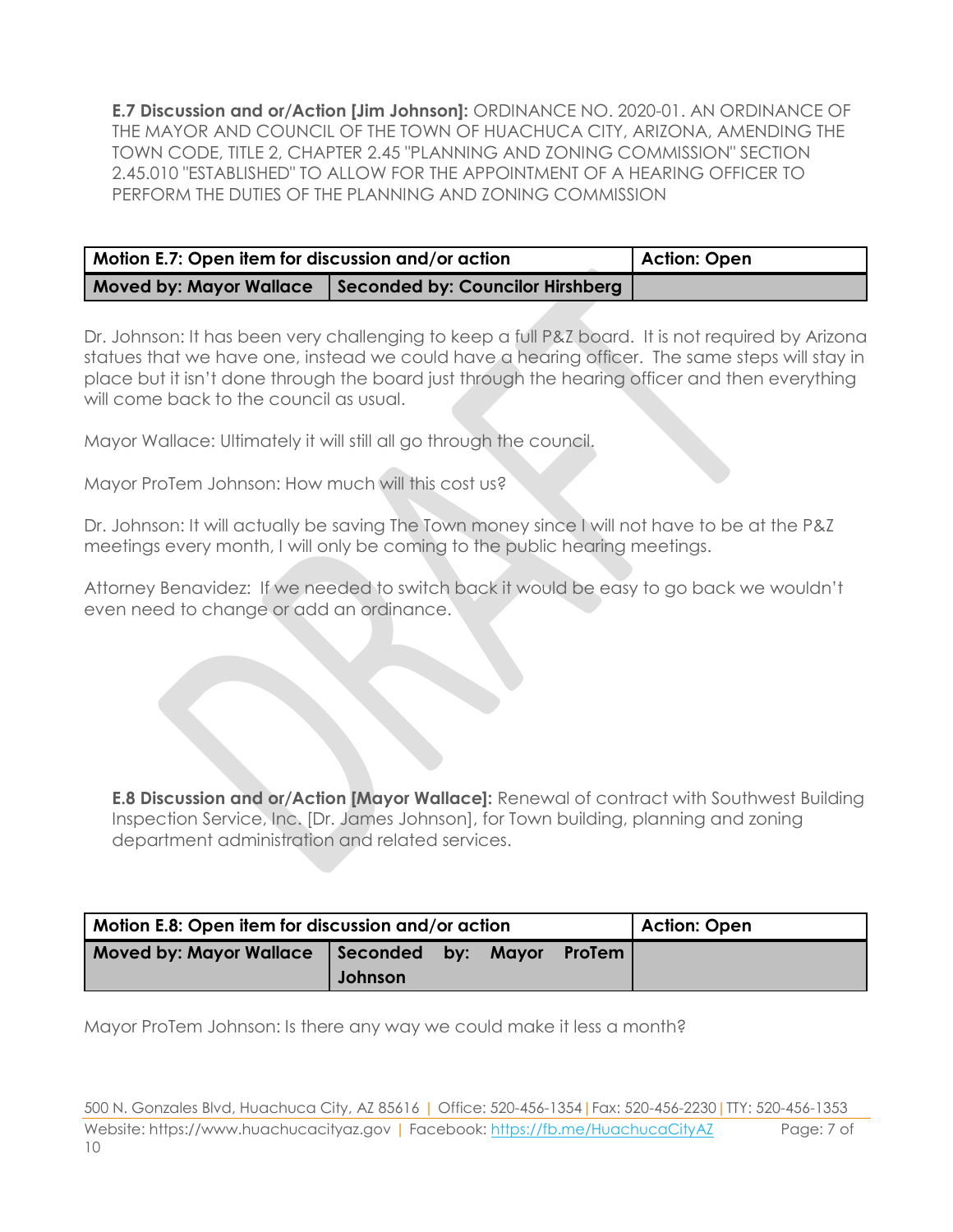**E.7 Discussion and or/Action [Jim Johnson]:** ORDINANCE NO. 2020-01. AN ORDINANCE OF THE MAYOR AND COUNCIL OF THE TOWN OF HUACHUCA CITY, ARIZONA, AMENDING THE TOWN CODE, TITLE 2, CHAPTER 2.45 "PLANNING AND ZONING COMMISSION" SECTION 2.45.010 "ESTABLISHED" TO ALLOW FOR THE APPOINTMENT OF A HEARING OFFICER TO PERFORM THE DUTIES OF THE PLANNING AND ZONING COMMISSION

| Motion E.7: Open item for discussion and/or action | Action: Open                     |  |
|----------------------------------------------------|----------------------------------|--|
| Moved by: Mayor Wallace                            | Seconded by: Councilor Hirshberg |  |

Dr. Johnson: It has been very challenging to keep a full P&Z board. It is not required by Arizona statues that we have one, instead we could have a hearing officer. The same steps will stay in place but it isn't done through the board just through the hearing officer and then everything will come back to the council as usual.

Mayor Wallace: Ultimately it will still all go through the council.

Mayor ProTem Johnson: How much will this cost us?

Dr. Johnson: It will actually be saving The Town money since I will not have to be at the P&Z meetings every month, I will only be coming to the public hearing meetings.

Attorney Benavidez: If we needed to switch back it would be easy to go back we wouldn't even need to change or add an ordinance.

**E.8 Discussion and or/Action [Mayor Wallace]:** Renewal of contract with Southwest Building Inspection Service, Inc. [Dr. James Johnson], for Town building, planning and zoning department administration and related services.

| Motion E.8: Open item for discussion and/or action |         |  |  |        | <b>Action: Open</b> |
|----------------------------------------------------|---------|--|--|--------|---------------------|
| Moved by: Mayor Wallace   Seconded by: Mayor       | Johnson |  |  | ProTem |                     |

Mayor ProTem Johnson: Is there any way we could make it less a month?

<sup>500</sup> N. Gonzales Blvd, Huachuca City, AZ 85616 | Office: 520-456-1354|Fax: 520-456-2230|TTY: 520-456-1353 Website: https://www.huachucacityaz.gov | Facebook:<https://fb.me/HuachucaCityAZ> Page: 7 of 10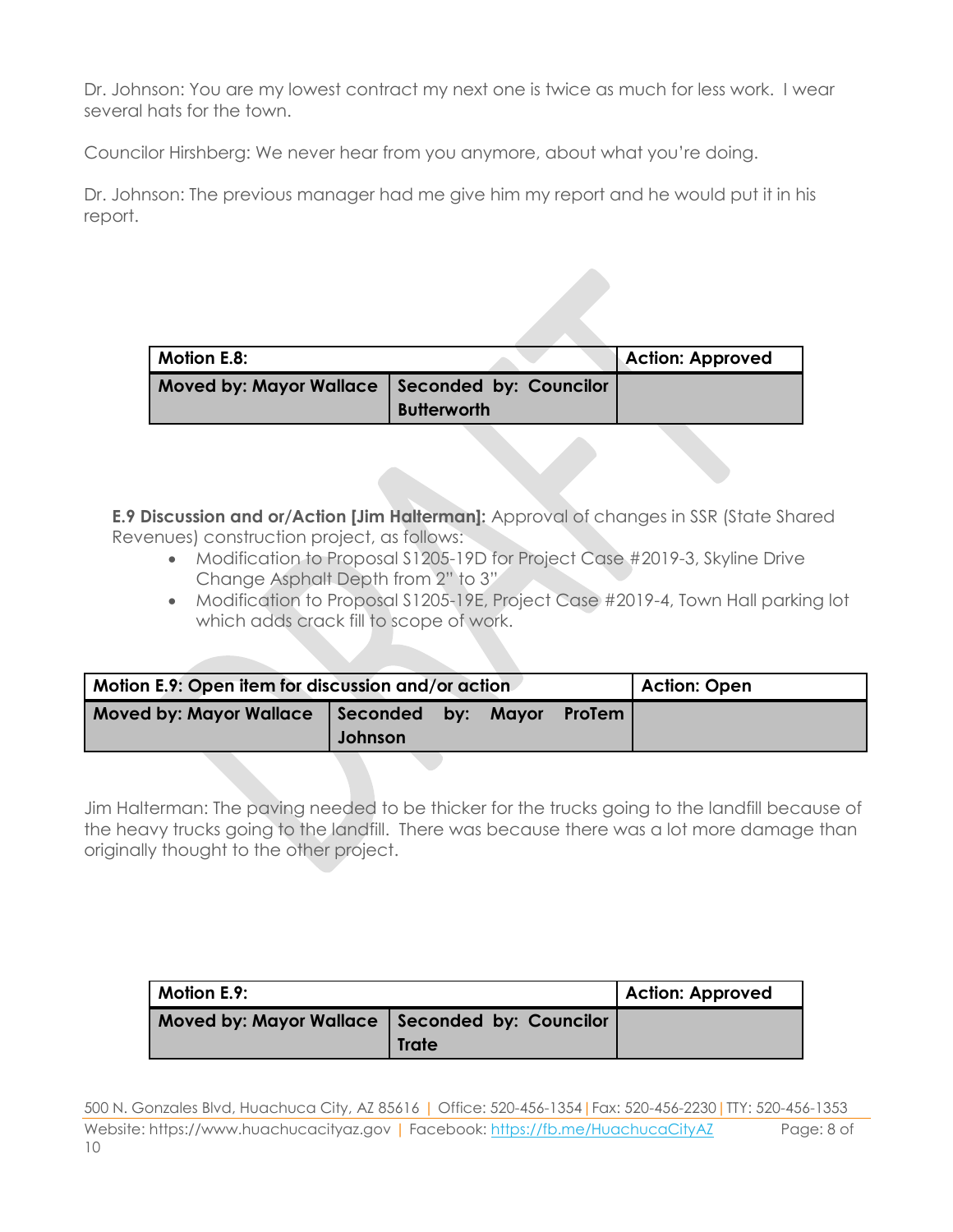Dr. Johnson: You are my lowest contract my next one is twice as much for less work. I wear several hats for the town.

Councilor Hirshberg: We never hear from you anymore, about what you're doing.

Dr. Johnson: The previous manager had me give him my report and he would put it in his report.

| <b>Motion E.8:</b>                               |                    | <b>Action: Approved</b> |
|--------------------------------------------------|--------------------|-------------------------|
| Moved by: Mayor Wallace   Seconded by: Councilor | <b>Butterworth</b> |                         |

**E.9 Discussion and or/Action [Jim Halterman]:** Approval of changes in SSR (State Shared Revenues) construction project, as follows:

- Modification to Proposal S1205-19D for Project Case #2019-3, Skyline Drive Change Asphalt Depth from 2" to 3"
- Modification to Proposal S1205-19E, Project Case #2019-4, Town Hall parking lot which adds crack fill to scope of work.

| Motion E.9: Open item for discussion and/or action |         |  |              | <b>Action: Open</b> |  |
|----------------------------------------------------|---------|--|--------------|---------------------|--|
| Moved by: Mayor Wallace Seconded by:               | Johnson |  | <b>Mavor</b> | <b>ProTem I</b>     |  |

Jim Halterman: The paving needed to be thicker for the trucks going to the landfill because of the heavy trucks going to the landfill. There was because there was a lot more damage than originally thought to the other project.

| Motion E.9:                                      |       | <b>Action: Approved</b> |
|--------------------------------------------------|-------|-------------------------|
| Moved by: Mayor Wallace   Seconded by: Councilor | Trate |                         |

500 N. Gonzales Blvd, Huachuca City, AZ 85616 | Office: 520-456-1354|Fax: 520-456-2230|TTY: 520-456-1353 Website: https://www.huachucacityaz.gov | Facebook:<https://fb.me/HuachucaCityAZ> Page: 8 of 10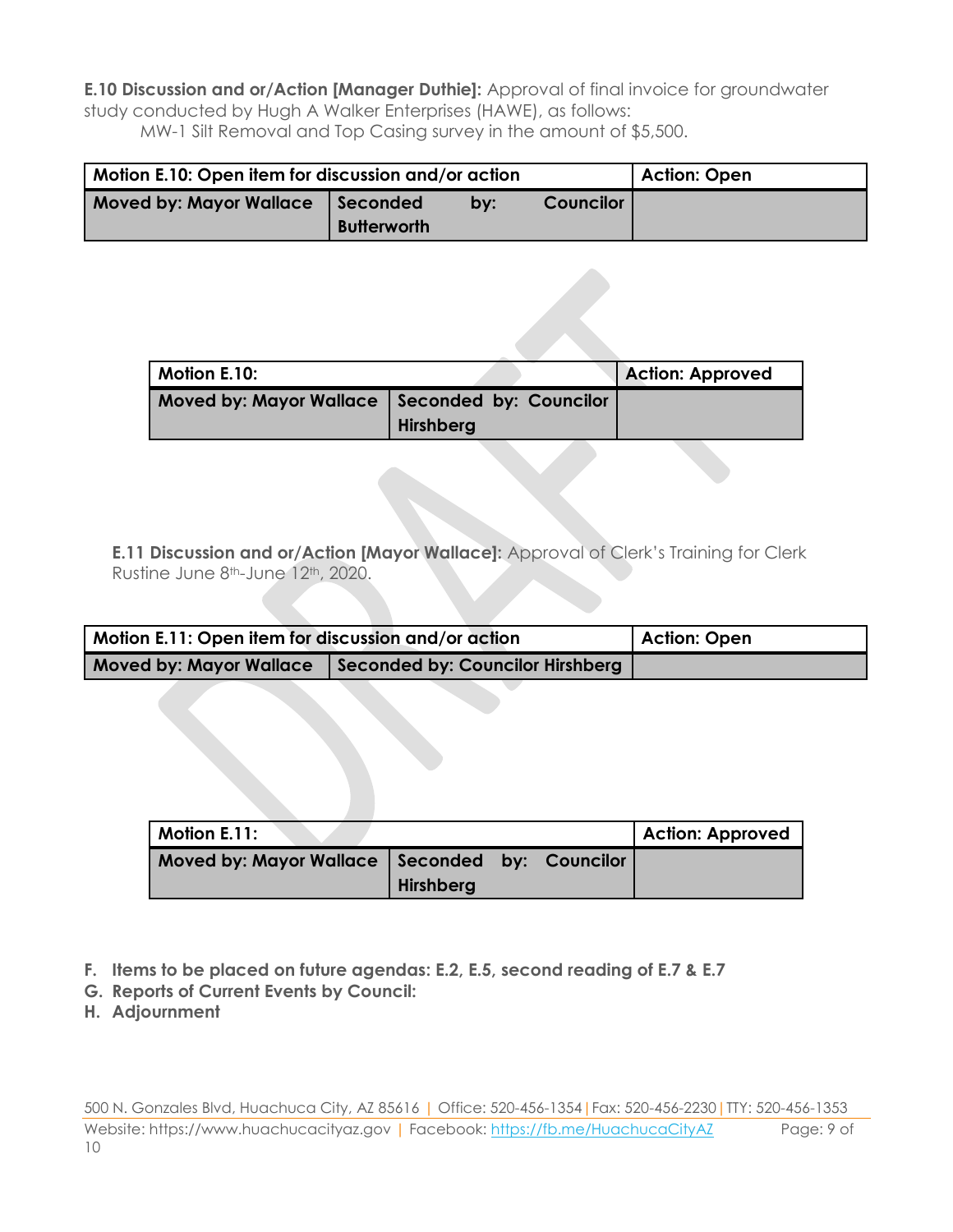**E.10 Discussion and or/Action [Manager Duthie]:** Approval of final invoice for groundwater study conducted by Hugh A Walker Enterprises (HAWE), as follows: MW-1 Silt Removal and Top Casing survey in the amount of \$5,500.

| Motion E.10: Open item for discussion and/or action | <b>Action: Open</b>            |     |                  |  |
|-----------------------------------------------------|--------------------------------|-----|------------------|--|
| <b>Moved by: Mayor Wallace</b>                      | Seconded<br><b>Butterworth</b> | by: | <b>Councilor</b> |  |

| <b>Motion E.10:</b>                              |                  | <b>Action: Approved</b> |
|--------------------------------------------------|------------------|-------------------------|
| Moved by: Mayor Wallace   Seconded by: Councilor | <b>Hirshberg</b> |                         |

**E.11 Discussion and or/Action [Mayor Wallace]:** Approval of Clerk's Training for Clerk Rustine June 8th-June 12th, 2020.

| Motion E.11: Open item for discussion and/or action | Action: Open                     |  |
|-----------------------------------------------------|----------------------------------|--|
| <b>Moved by: Mayor Wallace</b>                      | Seconded by: Councilor Hirshberg |  |

| Motion E.11:                                     |           |  | <b>Action: Approved</b> |
|--------------------------------------------------|-----------|--|-------------------------|
| Moved by: Mayor Wallace   Seconded by: Councilor |           |  |                         |
|                                                  | Hirshberg |  |                         |

- **F. Items to be placed on future agendas: E.2, E.5, second reading of E.7 & E.7**
- **G. Reports of Current Events by Council:**
- **H. Adjournment**